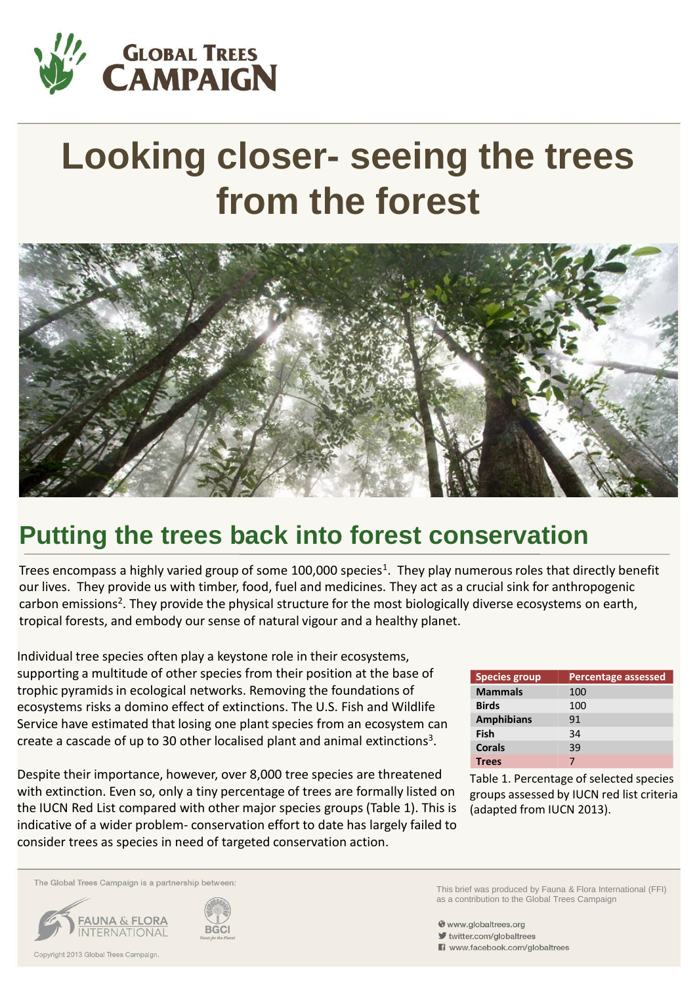

# **Looking closer- seeing the trees from the forest**



# **Putting the trees back into forest conservation**

Trees encompass a highly varied group of some 100,000 species<sup>1</sup>. They play numerous roles that directly benefit our lives. They provide us with timber, food, fuel and medicines. They act as a crucial sink for anthropogenic carbon emissions<sup>2</sup>. They provide the physical structure for the most biologically diverse ecosystems on earth, tropical forests, and embody our sense of natural vigour and a healthy planet.

Individual tree species often play a keystone role in their ecosystems, supporting a multitude of other species from their position at the base of trophic pyramids in ecological networks. Removing the foundations of ecosystems risks a domino effect of extinctions. The U.S. Fish and Wildlife Service have estimated that losing one plant species from an ecosystem can create a cascade of up to 30 other localised plant and animal extinctions<sup>3</sup>.

Despite their importance, however, over 8,000 tree species are threatened with extinction. Even so, only a tiny percentage of trees are formally listed on the IUCN Red List compared with other major species groups (Table 1). This is indicative of a wider problem- conservation effort to date has largely failed to consider trees as species in need of targeted conservation action.

| <b>Species group</b> | <b>Percentage assessed</b> |
|----------------------|----------------------------|
| <b>Mammals</b>       | 100                        |
| <b>Birds</b>         | 100                        |
| <b>Amphibians</b>    | 91                         |
| <b>Fish</b>          | 34                         |
| Corals               | 39                         |
| <b>Trees</b>         |                            |

Table 1. Percentage of selected species groups assessed by IUCN red list criteria (adapted from IUCN 2013).

This brief was produced by Fauna & Flora International (FFI)

as a contribution to the Global Trees Campaign

The Global Trees Campaign is a partnership between:





Www.globaltrees.org

witter.com/globaltrees www.facebook.com/globaltrees

Copyright 2013 Global Trees Campaign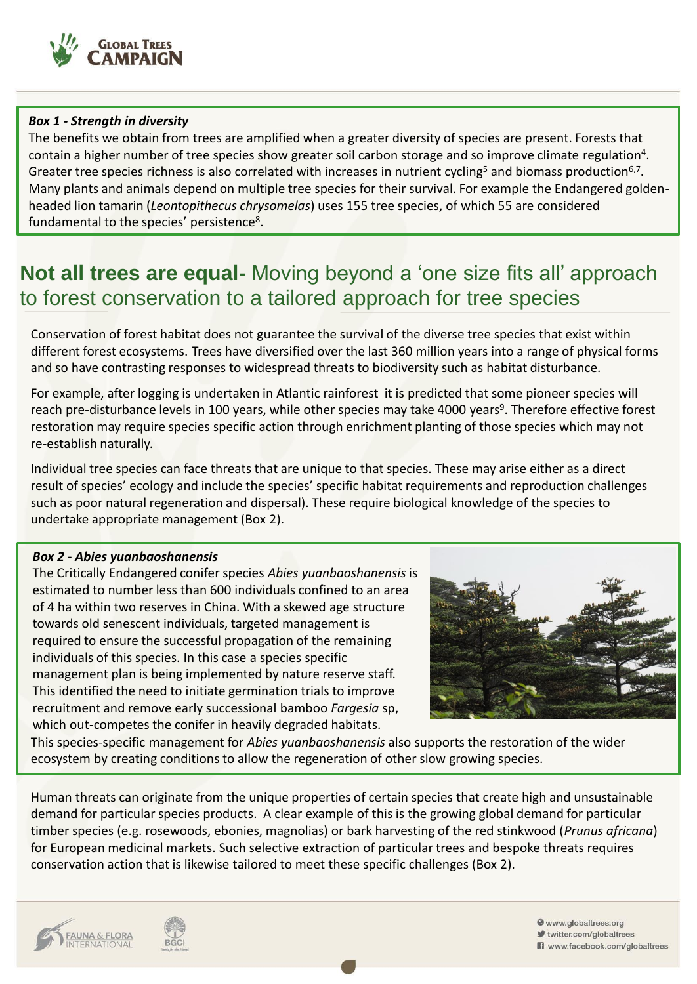

#### *Box 1 - Strength in diversity*

The benefits we obtain from trees are amplified when a greater diversity of species are present. Forests that contain a higher number of tree species show greater soil carbon storage and so improve climate regulation<sup>4</sup>. Greater tree species richness is also correlated with increases in nutrient cycling<sup>5</sup> and biomass production<sup>6,7</sup>. Many plants and animals depend on multiple tree species for their survival. For example the Endangered goldenheaded lion tamarin (*Leontopithecus chrysomelas*) uses 155 tree species, of which 55 are considered fundamental to the species' persistence<sup>8</sup>.

# **Not all trees are equal-** Moving beyond a 'one size fits all' approach to forest conservation to a tailored approach for tree species

Conservation of forest habitat does not guarantee the survival of the diverse tree species that exist within different forest ecosystems. Trees have diversified over the last 360 million years into a range of physical forms and so have contrasting responses to widespread threats to biodiversity such as habitat disturbance.

For example, after logging is undertaken in Atlantic rainforest it is predicted that some pioneer species will reach pre-disturbance levels in 100 years, while other species may take 4000 years<sup>9</sup>. Therefore effective forest restoration may require species specific action through enrichment planting of those species which may not re-establish naturally.

Individual tree species can face threats that are unique to that species. These may arise either as a direct result of species' ecology and include the species' specific habitat requirements and reproduction challenges such as poor natural regeneration and dispersal). These require biological knowledge of the species to undertake appropriate management (Box 2).

#### *Box 2 - Abies yuanbaoshanensis*

The Critically Endangered conifer species *Abies yuanbaoshanensis* is estimated to number less than 600 individuals confined to an area of 4 ha within two reserves in China. With a skewed age structure towards old senescent individuals, targeted management is required to ensure the successful propagation of the remaining individuals of this species. In this case a species specific management plan is being implemented by nature reserve staff. This identified the need to initiate germination trials to improve recruitment and remove early successional bamboo *Fargesia* sp, which out-competes the conifer in heavily degraded habitats.



This species-specific management for *Abies yuanbaoshanensis* also supports the restoration of the wider ecosystem by creating conditions to allow the regeneration of other slow growing species.

Human threats can originate from the unique properties of certain species that create high and unsustainable demand for particular species products. A clear example of this is the growing global demand for particular timber species (e.g. rosewoods, ebonies, magnolias) or bark harvesting of the red stinkwood (*Prunus africana*) for European medicinal markets. Such selective extraction of particular trees and bespoke threats requires conservation action that is likewise tailored to meet these specific challenges (Box 2).





www.globaltrees.org twitter.com/globaltrees Www.facebook.com/globaltrees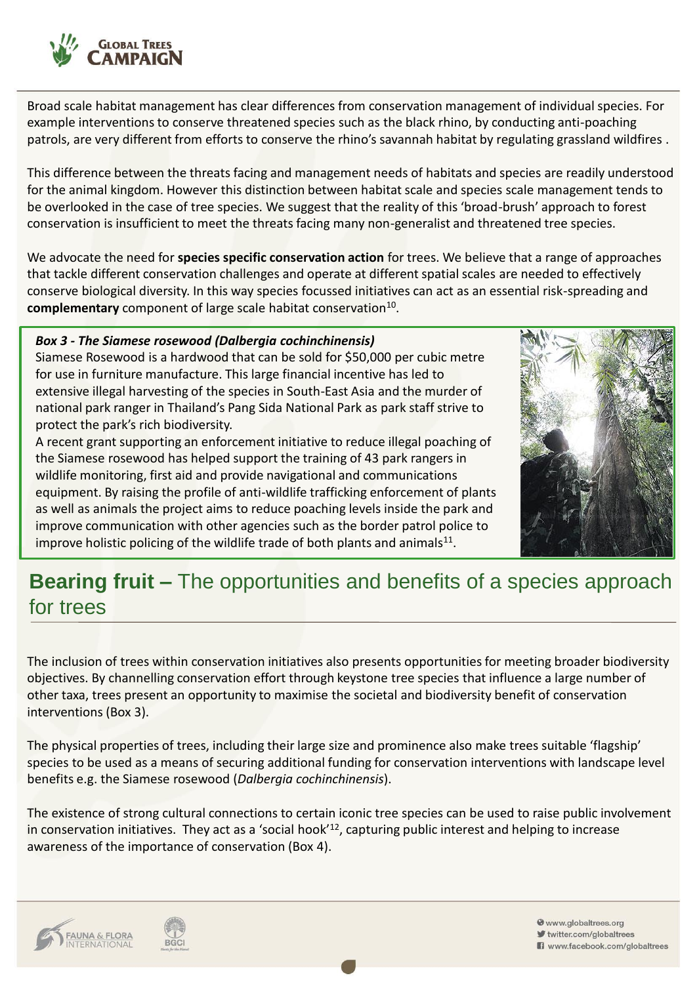

Broad scale habitat management has clear differences from conservation management of individual species. For example interventions to conserve threatened species such as the black rhino, by conducting anti-poaching patrols, are very different from efforts to conserve the rhino's savannah habitat by regulating grassland wildfires .

This difference between the threats facing and management needs of habitats and species are readily understood for the animal kingdom. However this distinction between habitat scale and species scale management tends to be overlooked in the case of tree species. We suggest that the reality of this 'broad-brush' approach to forest conservation is insufficient to meet the threats facing many non-generalist and threatened tree species.

We advocate the need for **species specific conservation action** for trees. We believe that a range of approaches that tackle different conservation challenges and operate at different spatial scales are needed to effectively conserve biological diversity. In this way species focussed initiatives can act as an essential risk-spreading and complementary component of large scale habitat conservation<sup>10</sup>.

#### *Box 3 - The Siamese rosewood (Dalbergia cochinchinensis)*

Siamese Rosewood is a hardwood that can be sold for \$50,000 per cubic metre for use in furniture manufacture. This large financial incentive has led to extensive illegal harvesting of the species in South-East Asia and the murder of national park ranger in Thailand's Pang Sida National Park as park staff strive to protect the park's rich biodiversity.

A recent grant supporting an enforcement initiative to reduce illegal poaching of the Siamese rosewood has helped support the training of 43 park rangers in wildlife monitoring, first aid and provide navigational and communications equipment. By raising the profile of anti-wildlife trafficking enforcement of plants as well as animals the project aims to reduce poaching levels inside the park and improve communication with other agencies such as the border patrol police to improve holistic policing of the wildlife trade of both plants and animals $^{11}$ .



# **Bearing fruit –** The opportunities and benefits of a species approach for trees

The inclusion of trees within conservation initiatives also presents opportunities for meeting broader biodiversity objectives. By channelling conservation effort through keystone tree species that influence a large number of other taxa, trees present an opportunity to maximise the societal and biodiversity benefit of conservation interventions (Box 3).

The physical properties of trees, including their large size and prominence also make trees suitable 'flagship' species to be used as a means of securing additional funding for conservation interventions with landscape level benefits e.g. the Siamese rosewood (*Dalbergia cochinchinensis*).

The existence of strong cultural connections to certain iconic tree species can be used to raise public involvement in conservation initiatives. They act as a 'social hook'<sup>12</sup>, capturing public interest and helping to increase awareness of the importance of conservation (Box 4).



**BGCI** 

www.globaltrees.org twitter.com/globaltrees Www.facebook.com/globaltrees